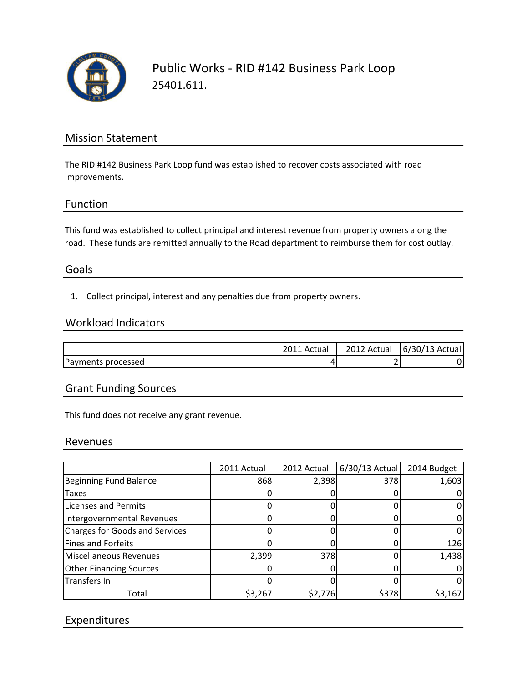

Public Works - RID #142 Business Park Loop 25401.611.

# Mission Statement

The RID #142 Business Park Loop fund was established to recover costs associated with road improvements.

## Function

This fund was established to collect principal and interest revenue from property owners along the road. These funds are remitted annually to the Road department to reimburse them for cost outlay.

## Goals

1. Collect principal, interest and any penalties due from property owners.

#### Workload Indicators

|                    | Actual | 2012 Actual | $6/30/13$ Actual |
|--------------------|--------|-------------|------------------|
| Payments processed | 4      |             |                  |

## Grant Funding Sources

This fund does not receive any grant revenue.

#### Revenues

|                                | 2011 Actual | 2012 Actual | $6/30/13$ Actual | 2014 Budget |
|--------------------------------|-------------|-------------|------------------|-------------|
| <b>Beginning Fund Balance</b>  | 868         | 2,398       | 378              | 1,603       |
| <b>Taxes</b>                   |             |             |                  |             |
| <b>Licenses and Permits</b>    |             |             |                  |             |
| Intergovernmental Revenues     |             |             |                  |             |
| Charges for Goods and Services |             |             |                  |             |
| Fines and Forfeits             |             |             |                  | 126         |
| Miscellaneous Revenues         | 2,399       | 378         |                  | 1,438       |
| <b>Other Financing Sources</b> |             |             |                  |             |
| Transfers In                   |             |             |                  |             |
| Total                          | \$3,267     | \$2,776     | \$378            | \$3,167     |

# Expenditures